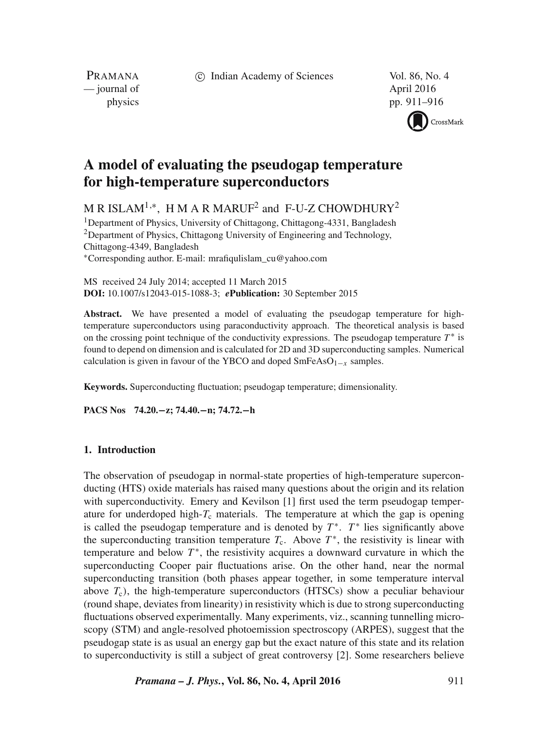c Indian Academy of Sciences Vol. 86, No. 4

PRAMANA — journal of April 2016

physics pp. 911–916



# **A model of evaluating the pseudogap temperature for high-temperature superconductors**

M R ISLAM<sup>1,∗</sup>, H M A R MARUF<sup>2</sup> and F-U-Z CHOWDHURY<sup>2</sup>

<sup>1</sup>Department of Physics, University of Chittagong, Chittagong-4331, Bangladesh <sup>2</sup>Department of Physics, Chittagong University of Engineering and Technology, Chittagong-4349, Bangladesh ∗Corresponding author. E-mail: mrafiqulislam\_cu@yahoo.com

MS received 24 July 2014; accepted 11 March 2015 **DOI:** 10.1007/s12043-015-1088-3; *e***Publication:** 30 September 2015

**Abstract.** We have presented a model of evaluating the pseudogap temperature for hightemperature superconductors using paraconductivity approach. The theoretical analysis is based on the crossing point technique of the conductivity expressions. The pseudogap temperature  $T^*$  is found to depend on dimension and is calculated for 2D and 3D superconducting samples. Numerical calculation is given in favour of the YBCO and doped  $SmFeAsO<sub>1-x</sub>$  samples.

**Keywords.** Superconducting fluctuation; pseudogap temperature; dimensionality.

**PACS Nos 74.20.−z; 74.40.−n; 74.72.−h**

# **1. Introduction**

The observation of pseudogap in normal-state properties of high-temperature superconducting (HTS) oxide materials has raised many questions about the origin and its relation with superconductivity. Emery and Kevilson [1] first used the term pseudogap temperature for underdoped high- $T_c$  materials. The temperature at which the gap is opening is called the pseudogap temperature and is denoted by  $T^*$ .  $T^*$  lies significantly above the superconducting transition temperature  $T_c$ . Above  $T^*$ , the resistivity is linear with temperature and below  $T^*$ , the resistivity acquires a downward curvature in which the superconducting Cooper pair fluctuations arise. On the other hand, near the normal superconducting transition (both phases appear together, in some temperature interval above  $T_c$ ), the high-temperature superconductors (HTSCs) show a peculiar behaviour (round shape, deviates from linearity) in resistivity which is due to strong superconducting fluctuations observed experimentally. Many experiments, viz., scanning tunnelling microscopy (STM) and angle-resolved photoemission spectroscopy (ARPES), suggest that the pseudogap state is as usual an energy gap but the exact nature of this state and its relation to superconductivity is still a subject of great controversy [2]. Some researchers believe

*Pramana – J. Phys.***, Vol. 86, No. 4, April 2016** 911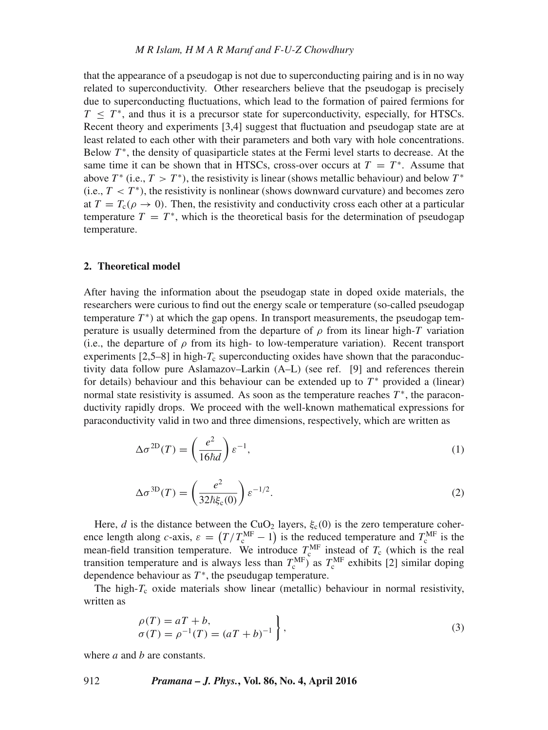# *M R Islam, H M A R Maruf and F-U-Z Chowdhury*

that the appearance of a pseudogap is not due to superconducting pairing and is in no way related to superconductivity. Other researchers believe that the pseudogap is precisely due to superconducting fluctuations, which lead to the formation of paired fermions for  $T < T^*$ , and thus it is a precursor state for superconductivity, especially, for HTSCs. Recent theory and experiments [3,4] suggest that fluctuation and pseudogap state are at least related to each other with their parameters and both vary with hole concentrations. Below  $T^*$ , the density of quasiparticle states at the Fermi level starts to decrease. At the same time it can be shown that in HTSCs, cross-over occurs at  $T = T^*$ . Assume that above  $T^*$  (i.e.,  $T > T^*$ ), the resistivity is linear (shows metallic behaviour) and below  $T^*$ (i.e.,  $T < T^*$ ), the resistivity is nonlinear (shows downward curvature) and becomes zero at  $T = T_c(\rho \rightarrow 0)$ . Then, the resistivity and conductivity cross each other at a particular temperature  $T = T^*$ , which is the theoretical basis for the determination of pseudogap temperature.

# **2. Theoretical model**

After having the information about the pseudogap state in doped oxide materials, the researchers were curious to find out the energy scale or temperature (so-called pseudogap temperature  $T^*$ ) at which the gap opens. In transport measurements, the pseudogap temperature is usually determined from the departure of  $\rho$  from its linear high-T variation (i.e., the departure of  $\rho$  from its high- to low-temperature variation). Recent transport experiments  $[2,5-8]$  in high- $T_c$  superconducting oxides have shown that the paraconductivity data follow pure Aslamazov–Larkin (A–L) (see ref. [9] and references therein for details) behaviour and this behaviour can be extended up to  $T^*$  provided a (linear) normal state resistivity is assumed. As soon as the temperature reaches  $T^*$ , the paraconductivity rapidly drops. We proceed with the well-known mathematical expressions for paraconductivity valid in two and three dimensions, respectively, which are written as

$$
\Delta \sigma^{\text{2D}}(T) = \left(\frac{e^2}{16\hbar d}\right) \varepsilon^{-1},\tag{1}
$$

$$
\Delta \sigma^{3D}(T) = \left(\frac{e^2}{32\hbar \xi_c(0)}\right) \varepsilon^{-1/2}.
$$
 (2)

Here, d is the distance between the CuO<sub>2</sub> layers,  $\xi_c(0)$  is the zero temperature coherence length along c-axis,  $\varepsilon = (T/T_c^{\text{MF}}-1)$  is the reduced temperature and  $T_c^{\text{MF}}$  is the mean-field transition temperature. We introduce  $T_c^{\text{MF}}$  instead of  $T_c$  (which is the real transition temperature and is always less than  $T_c^{\text{MF}}$ ) as  $T_c^{\text{MF}}$  exhibits [2] similar doping dependence behaviour as  $T^*$ , the pseudugap temperature.

The high- $T_c$  oxide materials show linear (metallic) behaviour in normal resistivity, written as

$$
\begin{aligned}\n\rho(T) &= a + b, \\
\sigma(T) &= \rho^{-1}(T) = (a + b)^{-1}\n\end{aligned}\n\bigg\},\n\tag{3}
$$

where  $a$  and  $b$  are constants.

#### 912 *Pramana – J. Phys.***, Vol. 86, No. 4, April 2016**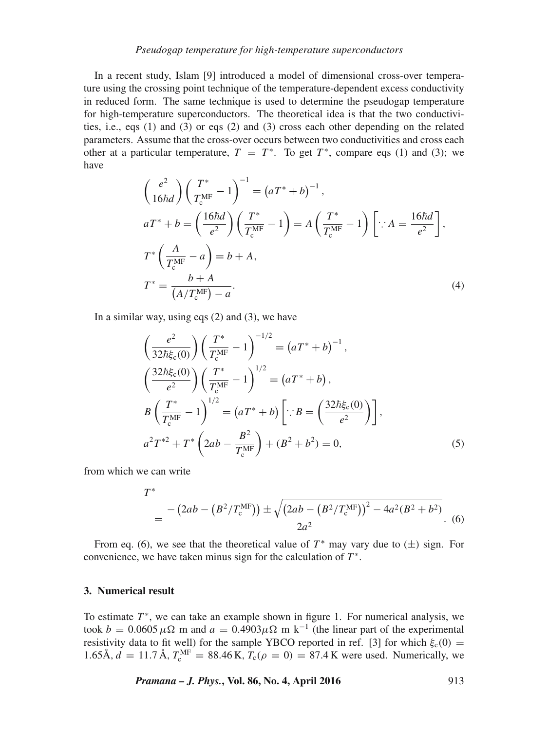# *Pseudogap temperature for high-temperature superconductors*

In a recent study, Islam [9] introduced a model of dimensional cross-over temperature using the crossing point technique of the temperature-dependent excess conductivity in reduced form. The same technique is used to determine the pseudogap temperature for high-temperature superconductors. The theoretical idea is that the two conductivities, i.e., eqs (1) and (3) or eqs (2) and (3) cross each other depending on the related parameters. Assume that the cross-over occurs between two conductivities and cross each other at a particular temperature,  $T = T^*$ . To get  $T^*$ , compare eqs (1) and (3); we have

$$
\left(\frac{e^2}{16\hbar d}\right) \left(\frac{T^*}{T_c^{\text{MF}}} - 1\right)^{-1} = \left(aT^* + b\right)^{-1},
$$
\n
$$
aT^* + b = \left(\frac{16\hbar d}{e^2}\right) \left(\frac{T^*}{T_c^{\text{MF}}} - 1\right) = A \left(\frac{T^*}{T_c^{\text{MF}}} - 1\right) \left[\because A = \frac{16\hbar d}{e^2}\right],
$$
\n
$$
T^* \left(\frac{A}{T_c^{\text{MF}}} - a\right) = b + A,
$$
\n
$$
T^* = \frac{b + A}{\left(A/T_c^{\text{MF}}\right) - a}.
$$
\n(4)

In a similar way, using eqs  $(2)$  and  $(3)$ , we have

$$
\left(\frac{e^2}{32\hbar\xi_c(0)}\right)\left(\frac{T^*}{T_c^{\text{MF}}} - 1\right)^{-1/2} = \left(aT^* + b\right)^{-1},
$$
\n
$$
\left(\frac{32\hbar\xi_c(0)}{e^2}\right)\left(\frac{T^*}{T_c^{\text{MF}}} - 1\right)^{1/2} = \left(aT^* + b\right),
$$
\n
$$
B\left(\frac{T^*}{T_c^{\text{MF}}} - 1\right)^{1/2} = \left(aT^* + b\right)\left[\because B = \left(\frac{32\hbar\xi_c(0)}{e^2}\right)\right],
$$
\n
$$
a^2T^{*2} + T^*\left(2ab - \frac{B^2}{T_c^{\text{MF}}}\right) + \left(B^2 + b^2\right) = 0,
$$
\n(5)

from which we can write

$$
T^* = \frac{-\left(2ab - \left(B^2/T_c^{\text{MF}}\right)\right) \pm \sqrt{\left(2ab - \left(B^2/T_c^{\text{MF}}\right)\right)^2 - 4a^2(B^2 + b^2)}}{2a^2}.
$$
 (6)

From eq. (6), we see that the theoretical value of  $T^*$  may vary due to  $(\pm)$  sign. For convenience, we have taken minus sign for the calculation of  $T^*$ .

# **3. Numerical result**

To estimate  $T^*$ , we can take an example shown in figure 1. For numerical analysis, we took  $b = 0.0605 \,\mu\Omega$  m and  $a = 0.4903 \mu\Omega$  m k<sup>-1</sup> (the linear part of the experimental resistivity data to fit well) for the sample YBCO reported in ref. [3] for which  $\xi_c(0)$  = 1.65Å,  $d = 11.7$ Å,  $T_c^{\text{MF}} = 88.46$  K,  $T_c(\rho = 0) = 87.4$  K were used. Numerically, we

*Pramana – J. Phys.***, Vol. 86, No. 4, April 2016** 913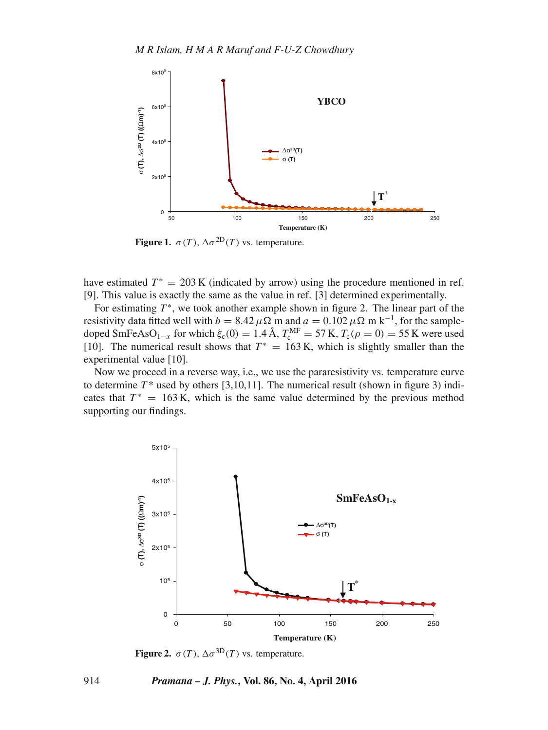

**Figure 1.**  $\sigma(T)$ ,  $\Delta \sigma^{2D}(T)$  vs. temperature.

have estimated  $T^* = 203 \text{ K}$  (indicated by arrow) using the procedure mentioned in ref. [9]. This value is exactly the same as the value in ref. [3] determined experimentally.

For estimating  $T^*$ , we took another example shown in figure 2. The linear part of the resistivity data fitted well with  $b = 8.42 \mu \Omega$  m and  $a = 0.102 \mu \Omega$  m k<sup>-1</sup>, for the sampledoped SmFeAsO<sub>1-x</sub> for which  $\xi_c(0) = 1.4 \text{ Å}$ ,  $T_c^{\text{MF}} = 57 \text{ K}$ ,  $T_c(\rho = 0) = 55 \text{ K}$  were used [10]. The numerical result shows that  $T^* = 163$  K, which is slightly smaller than the experimental value [10].

Now we proceed in a reverse way, i.e., we use the pararesistivity vs. temperature curve to determine  $T^*$  used by others [3,10,11]. The numerical result (shown in figure 3) indicates that  $T^* = 163$  K, which is the same value determined by the previous method supporting our findings.



**Figure 2.**  $\sigma(T)$ ,  $\Delta \sigma^{3D}(T)$  vs. temperature.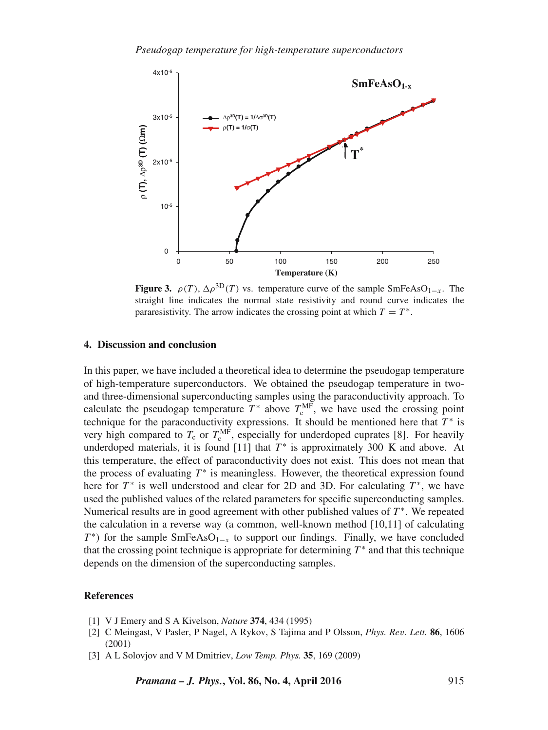

**Figure 3.**  $\rho(T)$ ,  $\Delta \rho^{3D}(T)$  vs. temperature curve of the sample SmFeAsO<sub>1−x</sub>. The straight line indicates the normal state resistivity and round curve indicates the pararesistivity. The arrow indicates the crossing point at which  $T = T^*$ .

## **4. Discussion and conclusion**

In this paper, we have included a theoretical idea to determine the pseudogap temperature of high-temperature superconductors. We obtained the pseudogap temperature in twoand three-dimensional superconducting samples using the paraconductivity approach. To calculate the pseudogap temperature  $T^*$  above  $T_c^{\text{MF}}$ , we have used the crossing point technique for the paraconductivity expressions. It should be mentioned here that  $T^*$  is very high compared to  $T_c$  or  $T_c^{\text{MF}}$ , especially for underdoped cuprates [8]. For heavily underdoped materials, it is found  $[11]$  that  $T^*$  is approximately 300 K and above. At this temperature, the effect of paraconductivity does not exist. This does not mean that the process of evaluating  $T^*$  is meaningless. However, the theoretical expression found here for  $T^*$  is well understood and clear for 2D and 3D. For calculating  $T^*$ , we have used the published values of the related parameters for specific superconducting samples. Numerical results are in good agreement with other published values of  $T^*$ . We repeated the calculation in a reverse way (a common, well-known method [10,11] of calculating  $T^*$ ) for the sample SmFeAsO<sub>1−x</sub> to support our findings. Finally, we have concluded that the crossing point technique is appropriate for determining  $T^*$  and that this technique depends on the dimension of the superconducting samples.

# **References**

- [1] V J Emery and S A Kivelson, *Nature* **374**, 434 (1995)
- [2] C Meingast, V Pasler, P Nagel, A Rykov, S Tajima and P Olsson, *Phys. Re*v*. Lett.* **86**, 1606 (2001)
- [3] A L Solovjov and V M Dmitriev, *Low Temp. Phys.* **35**, 169 (2009)